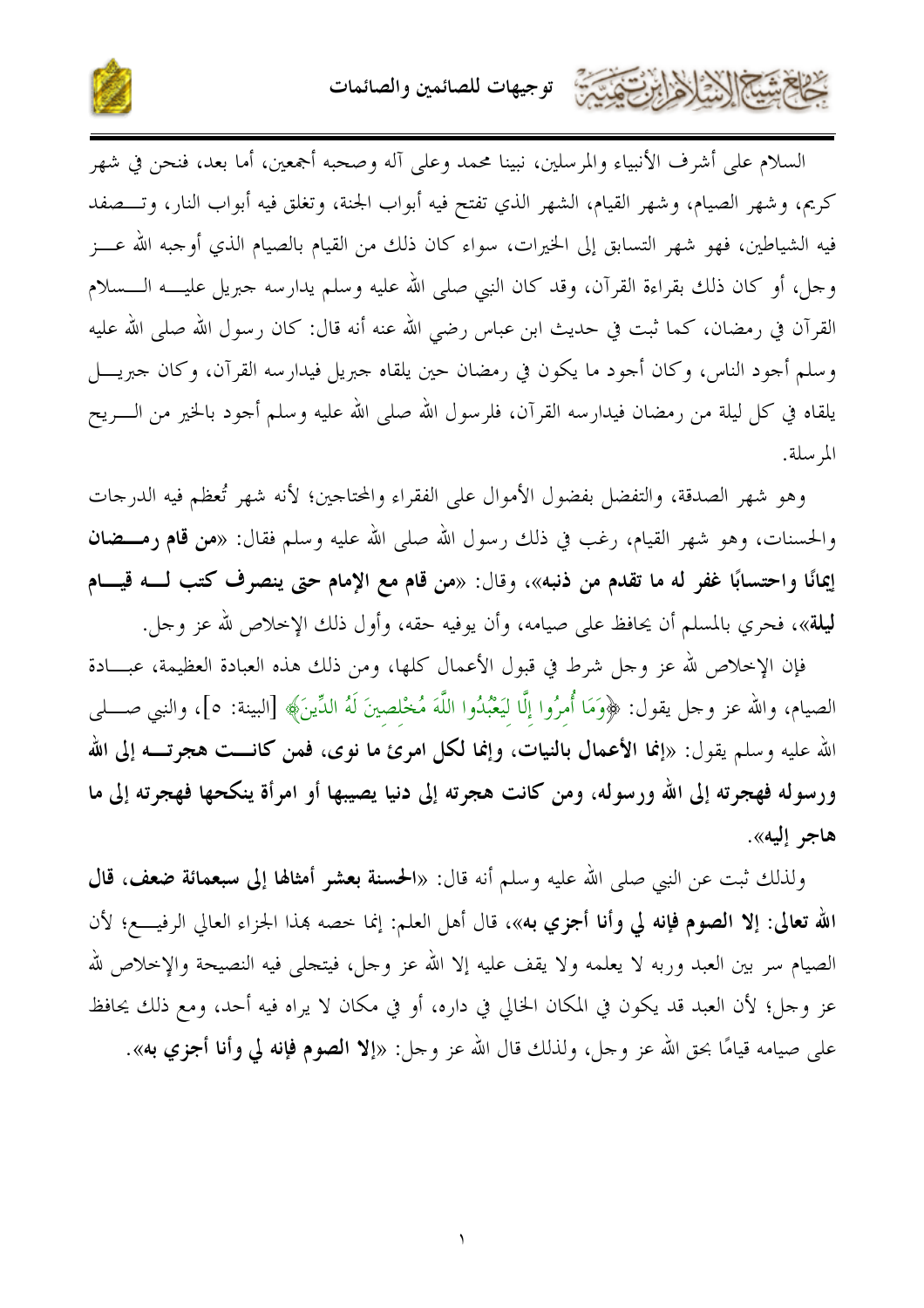توجيهات للصائمين والصائمات



السلام على أشرف الأنبياء والمرسلين، نبينا محمد وعلى آله وصحبه أجمعين، أما بعد، فنحن في شهر كريم، وشهر الصيام، وشهر القيام، الشهر الذي تفتح فيه أبواب الجنة، وتغلق فيه أبواب النار، وتـــصفد فيه الشياطين، فهو شهر التسابق إلى الخيرات، سواء كان ذلك من القيام بالصيام الذي أوجبه الله عـــز وجل، أو كان ذلك بقراءة القرآن، وقد كان النبي صلى الله عليه وسلم يدارسه جبريل عليــــه الــــسلام القرآن في رمضان، كما ثبت في حديث ابن عباس رضي الله عنه أنه قال: كان رسول الله صلى الله عليه وسلم أجود الناس، وكان أجود ما يكون في رمضان حين يلقاه جبريل فيدارسه القرآن، وكان حبريــــل يلقاه في كل ليلة من رمضان فيدارسه القرآن، فلرسول الله صلى الله عليه وسلم أحود بالخير من الــــريح المرسلة.

وهو شهر الصدقة، والتفضل بفضول الأموال على الفقراء والمحتاجين؛ لأنه شهر تُعظم فيه الدرجات والحسنات، وهو شهر القيام، رغب في ذلك رسول الله صلى الله عليه وسلم فقال: «**من قام رمـــضان** إيمانًا واحتسابًا غفر له ما تقدم من ذنبه»، وقال: «من قام مع الإمام حتى ينصرف كتب لـــه قيـــام **ليلة**»، فحري بالمسلم أن يحافظ على صيامه، وأن يوفيه حقه، وأول ذلك الإخلاص لله عز وحل.

فإن الإخلاص لله عز وحل شرط في قبول الأعمال كلها، ومن ذلك هذه العبادة العظيمة، عبـــادة الصيام، والله عز وحل يقول: ﴿وَمَا أَمرُوا إِلَّا لَيَعْبُدُوا اللَّهَ مُخْلصينَ لَهُ الدِّينَ﴾ [البينة: ٥]، والنبي صــــلي الله عليه وسلم يقول: «إنما الأعمال بالنيات، وإنما لكل امرئ ما نوى، فمن كانـــت هجرتـــه إلى الله ورسوله فهجرته إلى الله ورسوله، ومن كانت هجرته إلى دنيا يصيبها أو امرأة ينكحها فهجرته إلى ما هاجر إليه».

ولذلك ثبت عن النبي صلى الله عليه وسلم أنه قال: «الحسنة بعشر أمثالها إلى سبعمائة ضعف، قال الله تعالى: إلا الصوم فإنه لي وأنا أجزي به»، قال أهل العلم: إنما خصه بمذا الجزاء العالي الرفيــــع؛ لأن الصيام سر بين العبد وربه لا يعلمه ولا يقف عليه إلا الله عز وجل، فيتحلَّى فيه النصيحة والإخلاص لله عز وجل؛ لأن العبد قد يكون في المكان الخالي في داره، أو في مكان لا يراه فيه أحد، ومع ذلك يحافظ على صيامه قيامًا بحق الله عز وجل، ولذلك قال الله عز وحل: «إلا ا**لصوم فإنه لي وأنا أجزي به**».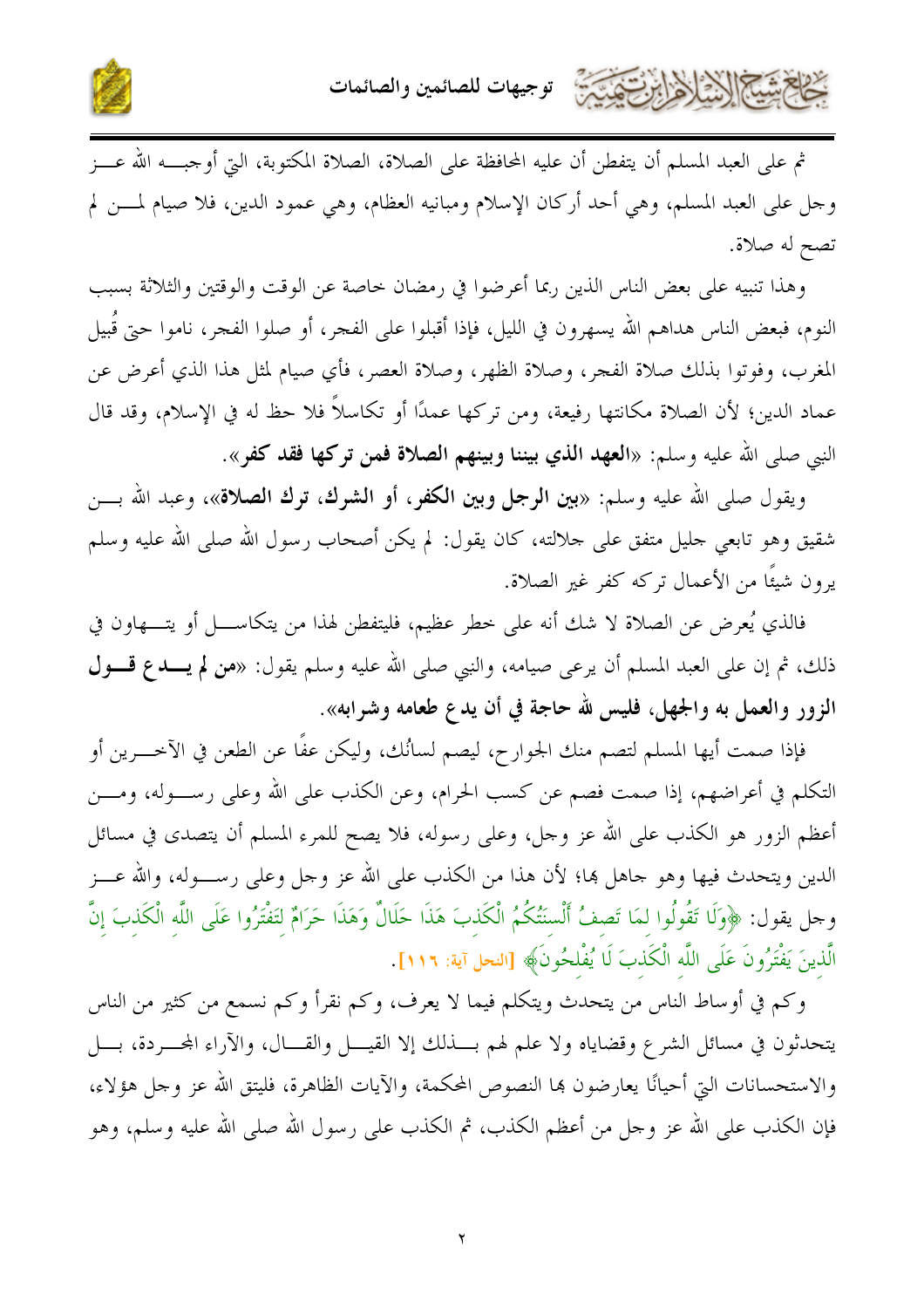



ثم على العبد المسلم أن يتفطن أن عليه المحافظة على الصلاة، الصلاة المكتوبة، التي أو حبــــه الله عـــز وجل على العبد المسلم، وهي أحد أركان الإسلام ومبانيه العظام، وهي عمود الدين، فلا صيام لمـــن لم تصح له صلاة.

وهذا تنبيه على بعض الناس الذين ربما أعرضوا في رمضان حاصة عن الوقت والوقتين والثلاثة بسبب النوم، فبعض الناس هداهم الله يسهرون في الليل، فإذا أقبلوا على الفجر، أو صلوا الفجر، ناموا حتى قُبيل المغرب، وفوتوا بذلك صلاة الفجر، وصلاة الظهر، وصلاة العصر، فأي صيام لمثل هذا الذي أعرض عن عماد الدين؛ لأن الصلاة مكانتها رفيعة، ومن تركها عمدًا أو تكاسلاً فلا حظ له في الإسلام، وقد قال النبي صلى الله عليه وسلم: «ا**لعهد الذي بيننا وبينهم الصلاة فمن تركها فقد كفر**».

ويقول صلى الله عليه وسلم: «بين ا**لرجل وبين الكفر**، أو الشوك، توك الصلاة»، وعبد الله بـــن شقيق وهو تابعي حليل متفق على حلالته، كان يقول: لم يكن أصحاب رسول الله صلى الله عليه وسلم يرون شيئًا من الأعمال تركه كفر غير الصلاة.

فالذي يُعرض عن الصلاة لا شك أنه على خطر عظيم، فليتفطن لهذا من يتكاســــل أو يتــــهاون في ذلك، ثم إن على العبد المسلم أن يرعى صيامه، والنبي صلى الله عليه وسلم يقول: «**من لم يـــدع قـــول** الزور والعمل به والجهل، فليس لله حاجة في أن يدع طعامه وشرابه».

فإذا صمت أيها المسلم لتصم منك الجوارح، ليصم لسانُك، وليكن عفًا عن الطعن في الآخـــرين أو التكلم في أعراضهم، إذا صمت فصم عن كسب الحرام، وعن الكذب على الله وعلى رســـوله، ومــــن أعظم الزور هو الكذب على الله عز وجل، وعلى رسوله، فلا يصح للمرء المسلم أن يتصدى في مسائل الدين ويتحدث فيها وهو حاهل بما؛ لأن هذا من الكذب على الله عز وحل وعلى رســـوله، والله عـــز وجل يقول: ﴿وَلَا تَقُولُوا لَمَا تَصِفُ أَلْسنَتُكُمُ الْكَذبَ هَذَا حَلَالٌ وَهَذَا حَرَامٌ لتَفْتَرُوا عَلَى اللّه الْكَذبَ إنَّ الَّذينَ يَفْتَرُونَ عَلَى اللَّه الْكَذبَ لَا يُفْلحُونَ﴾ [النحل آية: ١١٦].

وكم في أوساط الناس من يتحدث ويتكلم فيما لا يعرف، وكم نقرأ وكم نسمع من كثير من الناس يتحدثون في مسائل الشرع وقضاياه ولا علم لهم بسذلك إلا القيـــل والقـــال، والآراء المحـــردة، بــــل والاستحسانات التي أحيانًا يعارضون بما النصوص المحكمة، والآيات الظاهرة، فليتق الله عز وحل هؤلاء، فإن الكذب على الله عز وجل من أعظم الكذب، ثم الكذب على رسول الله صلى الله عليه وسلم، وهو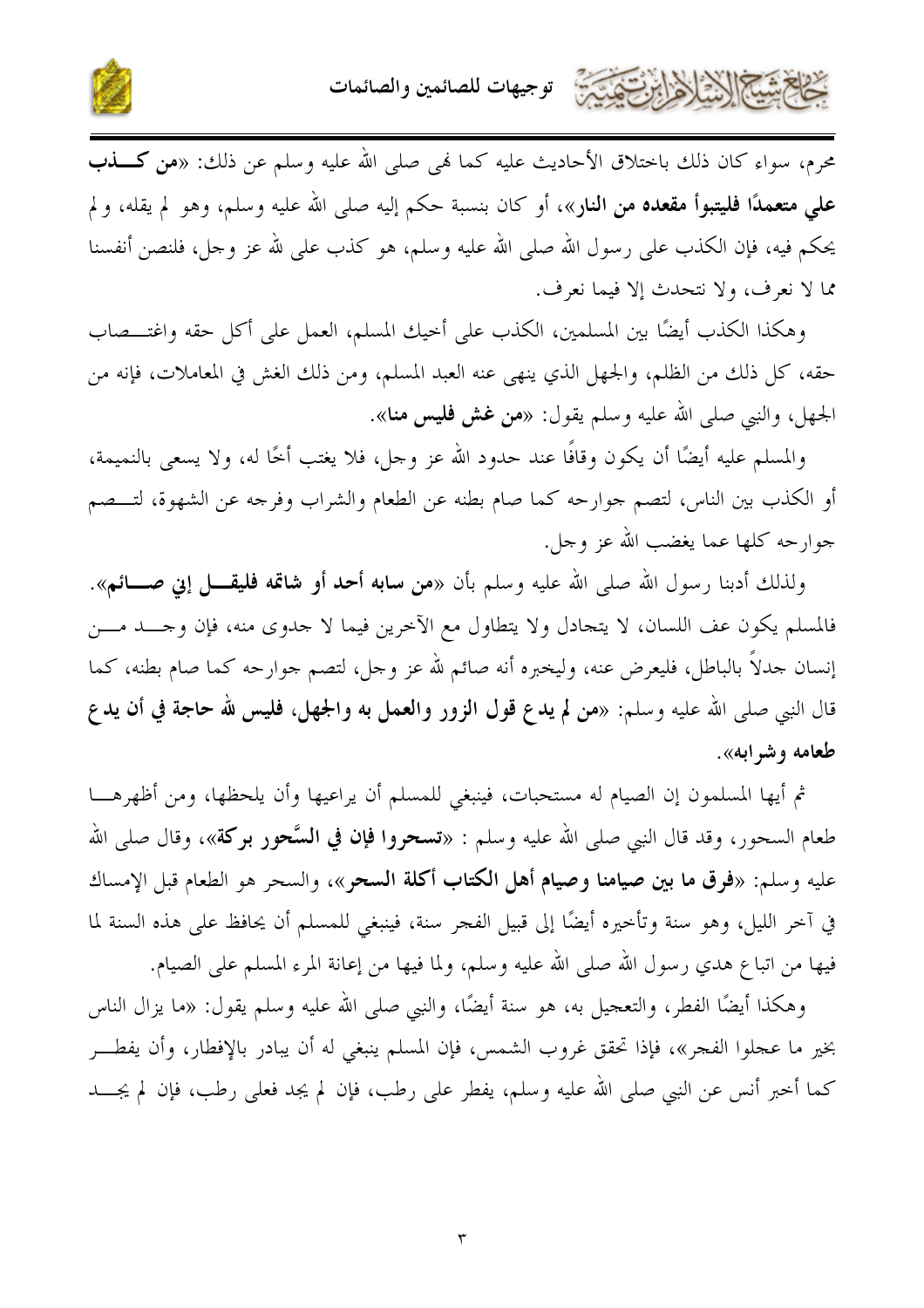



محرم، سواء كان ذلك باختلاق الأحاديث عليه كما فمي صلى الله عليه وسلم عن ذلك: «من كـــــــــــــــــــــــــــــ على متعمدًا فليتبوأ مقعده من النار»، أو كان بنسبة حكم إليه صلى الله عليه وسلم، وهو لم يقله، و لم يحكم فيه، فإن الكذب على رسول الله صلى الله عليه وسلم، هو كذب على لله عز وحل، فلنصن أنفسنا مما لا نعرف، ولا نتحدث إلا فيما نعرف.

وهكذا الكذب أيضًا بين المسلمين، الكذب على أخيك المسلم، العمل على أكل حقه واغتـــصاب حقه، كل ذلك من الظلم، والجهل الذي ينهي عنه العبد المسلم، ومن ذلك الغش في المعاملات، فإنه من الجهل، والنبي صلى الله عليه وسلم يقول: «من غش فليس منا».

والمسلم عليه أيضًا أن يكون وقافًا عند حدود الله عز وحل، فلا يغتب أخًا له، ولا يسعى بالنميمة، أو الكذب بين الناس، لتصم جوارحه كما صام بطنه عن الطعام والشراب وفرحه عن الشهوة، لتـــصم جوارحه كلها عما يغضب الله عز وجل.

ولذلك أدبنا رسول الله صلى الله عليه وسلم بأن «من **سابه أحد أو شاتمه فليقــــل إني صـــــائـم**». فالمسلم يكون عف اللسان، لا يتجادل ولا يتطاول مع الآخرين فيما لا حدوى منه، فإن وحـــد مـــن إنسان جدلاً بالباطل، فليعرض عنه، وليخبره أنه صائم لله عز وجل، لتصم جوارحه كما صام بطنه، كما قال النبي صلى الله عليه وسلم: «من لم يدع قول الزور والعمل به والجهل، فليس لله حاجة في أن يد ع طعامه و شه ابه».

ثم أيها المسلمون إن الصيام له مستحبات، فينبغي للمسلم أن يراعيها وأن يلحظها، ومن أظهرهـــا طعام السحور، وقد قال النبي صلى الله عليه وسلم : «**تسحروا فإن في السَّحور بركة**»، وقال صلى الله عليه وسلم: «فرق ما بين صيامنا وصيام أهل الكتاب أكلة السحر»، والسحر هو الطعام قبل الإمساك في آحر الليل، وهو سنة وتأحيره أيضًا إلى قبيل الفجر سنة، فينبغي للمسلم أن يحافظ على هذه السنة لما فيها من اتباع هدي رسول الله صلى الله عليه وسلم، ولما فيها من إعانة المرء المسلم على الصيام.

وهكذا أيضًا الفطر، والتعجيل به، هو سنة أيضًا، والنبي صلى الله عليه وسلم يقول: «ما يزال الناس بخير ما عجلوا الفجر»، فإذا تحقق غروب الشمس، فإن المسلم ينبغي له أن يبادر بالإفطار، وأن يفطـــر كما أخبر أنس عن النبي صلى الله عليه وسلم، يفطر على رطب، فإن لم يجد فعلى رطب، فإن لم يجــــد